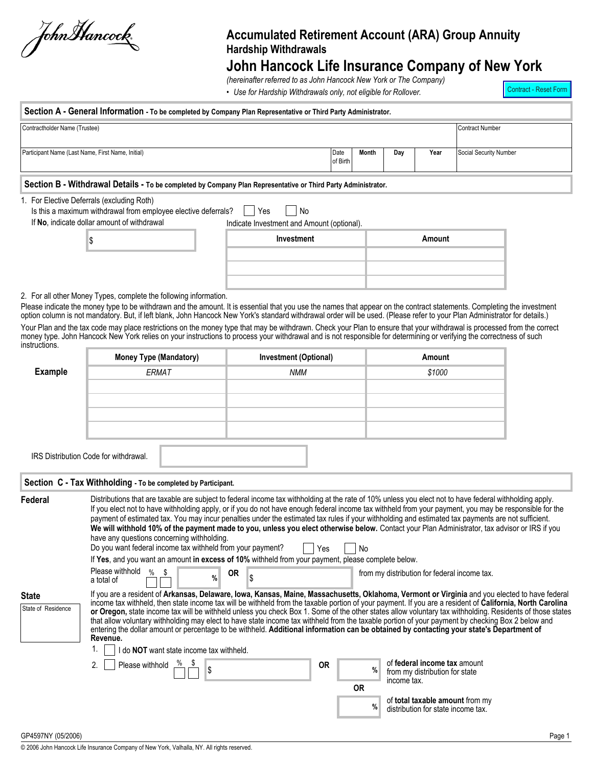JohnHancock,

## **Accumulated Retirement Account (ARA) Group Annuity Hardship Withdrawals**

# **John Hancock Life Insurance Company of New York**

*(hereinafter referred to as John Hancock New York or The Company)*

• *Use for Hardship Withdrawals only, not eligible for Rollover.*

Contract - Reset Form

| Section A - General Information - To be completed by Company Plan Representative or Third Party Administrator.<br>Contractholder Name (Trustee) |                                            |        |  |  | <b>Contract Number</b> |  |  |  |
|-------------------------------------------------------------------------------------------------------------------------------------------------|--------------------------------------------|--------|--|--|------------------------|--|--|--|
|                                                                                                                                                 |                                            |        |  |  |                        |  |  |  |
| Participant Name (Last Name, First Name, Initial)<br>Year<br>Social Security Number<br>Month<br>Date<br>Day<br>of Birth                         |                                            |        |  |  |                        |  |  |  |
| Section B - Withdrawal Details - To be completed by Company Plan Representative or Third Party Administrator.                                   |                                            |        |  |  |                        |  |  |  |
| 1. For Elective Deferrals (excluding Roth)<br>Is this a maximum withdrawal from employee elective deferrals?                                    | No.<br><b>Nes</b>                          |        |  |  |                        |  |  |  |
| If No, indicate dollar amount of withdrawal                                                                                                     | Indicate Investment and Amount (optional). |        |  |  |                        |  |  |  |
|                                                                                                                                                 | Investment                                 | Amount |  |  |                        |  |  |  |
|                                                                                                                                                 |                                            |        |  |  |                        |  |  |  |
|                                                                                                                                                 |                                            |        |  |  |                        |  |  |  |

2. For all other Money Types, complete the following information.

Please indicate the money type to be withdrawn and the amount. It is essential that you use the names that appear on the contract statements. Completing the investment option column is not mandatory. But, if left blank, John Hancock New York's standard withdrawal order will be used. (Please refer to your Plan Administrator for details.)

Your Plan and the tax code may place restrictions on the money type that may be withdrawn. Check your Plan to ensure that your withdrawal is processed from the correct money type. John Hancock New York relies on your instructions to process your withdrawal and is not responsible for determining or verifying the correctness of such instructions.

|                                    | <b>Money Type (Mandatory)</b>                                                                                                                                         | <b>Investment (Optional)</b>                                                                                                       | Amount                                                                                                                                                                                                                                                                                                                                                                                                                                                                                                                                                                                                                                                                                                                                                                                                                                                                                                                                                   |  |
|------------------------------------|-----------------------------------------------------------------------------------------------------------------------------------------------------------------------|------------------------------------------------------------------------------------------------------------------------------------|----------------------------------------------------------------------------------------------------------------------------------------------------------------------------------------------------------------------------------------------------------------------------------------------------------------------------------------------------------------------------------------------------------------------------------------------------------------------------------------------------------------------------------------------------------------------------------------------------------------------------------------------------------------------------------------------------------------------------------------------------------------------------------------------------------------------------------------------------------------------------------------------------------------------------------------------------------|--|
| <b>Example</b>                     | ERMAT                                                                                                                                                                 | <b>NMM</b>                                                                                                                         | \$1000                                                                                                                                                                                                                                                                                                                                                                                                                                                                                                                                                                                                                                                                                                                                                                                                                                                                                                                                                   |  |
|                                    |                                                                                                                                                                       |                                                                                                                                    |                                                                                                                                                                                                                                                                                                                                                                                                                                                                                                                                                                                                                                                                                                                                                                                                                                                                                                                                                          |  |
|                                    |                                                                                                                                                                       |                                                                                                                                    |                                                                                                                                                                                                                                                                                                                                                                                                                                                                                                                                                                                                                                                                                                                                                                                                                                                                                                                                                          |  |
|                                    |                                                                                                                                                                       |                                                                                                                                    |                                                                                                                                                                                                                                                                                                                                                                                                                                                                                                                                                                                                                                                                                                                                                                                                                                                                                                                                                          |  |
|                                    |                                                                                                                                                                       |                                                                                                                                    |                                                                                                                                                                                                                                                                                                                                                                                                                                                                                                                                                                                                                                                                                                                                                                                                                                                                                                                                                          |  |
|                                    |                                                                                                                                                                       |                                                                                                                                    |                                                                                                                                                                                                                                                                                                                                                                                                                                                                                                                                                                                                                                                                                                                                                                                                                                                                                                                                                          |  |
|                                    | IRS Distribution Code for withdrawal.                                                                                                                                 |                                                                                                                                    |                                                                                                                                                                                                                                                                                                                                                                                                                                                                                                                                                                                                                                                                                                                                                                                                                                                                                                                                                          |  |
|                                    | Section C - Tax Withholding - To be completed by Participant.                                                                                                         |                                                                                                                                    |                                                                                                                                                                                                                                                                                                                                                                                                                                                                                                                                                                                                                                                                                                                                                                                                                                                                                                                                                          |  |
| Federal                            | have any questions concerning withholding.<br>Do you want federal income tax withheld from your payment?<br>Please withhold<br>$\frac{0}{0}$<br>\$<br>%<br>a total of | No<br>Yes<br>If Yes, and you want an amount in excess of 10% withheld from your payment, please complete below.<br><b>OR</b><br>ß. | Distributions that are taxable are subject to federal income tax withholding at the rate of 10% unless you elect not to have federal withholding apply.<br>If you elect not to have withholding apply, or if you do not have enough federal income tax withheld from your payment, you may be responsible for the<br>payment of estimated tax. You may incur penalties under the estimated tax rules if your withholding and estimated tax payments are not sufficient.<br>We will withhold 10% of the payment made to you, unless you elect otherwise below. Contact your Plan Administrator, tax advisor or IRS if you<br>from my distribution for federal income tax.                                                                                                                                                                                                                                                                                 |  |
| <b>State</b><br>State of Residence | Revenue.<br>I do NOT want state income tax withheld.<br>Please withhold<br>2.<br>\$                                                                                   | <b>OR</b><br><b>OR</b>                                                                                                             | If you are a resident of Arkansas, Delaware, Iowa, Kansas, Maine, Massachusetts, Oklahoma, Vermont or Virginia and you elected to have federal<br>income tax withheld, then state income tax will be withheld from the taxable portion of your payment. If you are a resident of California, North Carolina<br>or Oregon, state income tax will be withheld unless you check Box 1. Some of the other states allow voluntary tax withholding. Residents of those states<br>that allow voluntary withholding may elect to have state income tax withheld from the taxable portion of your payment by checking Box 2 below and<br>entering the dollar amount or percentage to be withheld. Additional information can be obtained by contacting your state's Department of<br>of federal income tax amount<br>$\frac{9}{6}$<br>from my distribution for state<br>income tax.<br>of total taxable amount from my<br>%<br>distribution for state income tax. |  |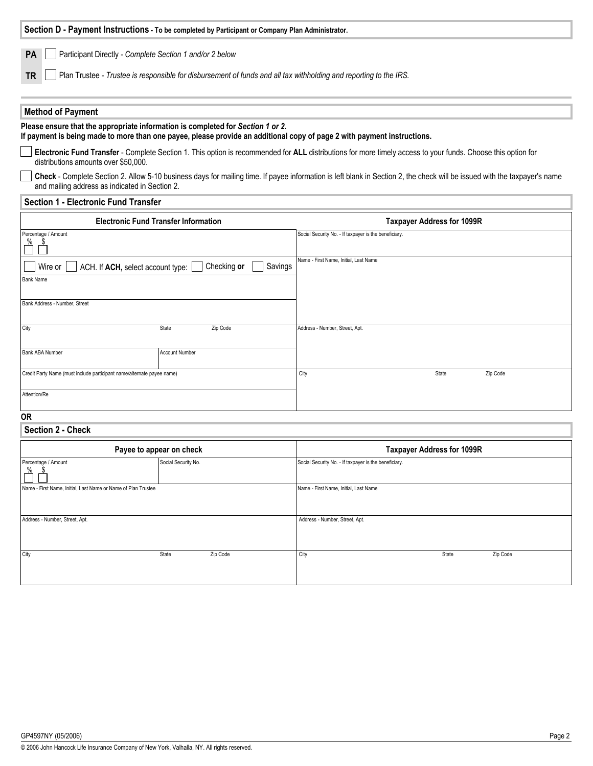| Section D - Payment Instructions - To be completed by Participant or Company Plan Administrator.                                                                                                           |                                             |                                                                                                                                                                           |  |  |  |  |  |  |
|------------------------------------------------------------------------------------------------------------------------------------------------------------------------------------------------------------|---------------------------------------------|---------------------------------------------------------------------------------------------------------------------------------------------------------------------------|--|--|--|--|--|--|
| Participant Directly - Complete Section 1 and/or 2 below<br>PA                                                                                                                                             |                                             |                                                                                                                                                                           |  |  |  |  |  |  |
|                                                                                                                                                                                                            |                                             |                                                                                                                                                                           |  |  |  |  |  |  |
| Plan Trustee - Trustee is responsible for disbursement of funds and all tax withholding and reporting to the IRS.<br><b>TR</b>                                                                             |                                             |                                                                                                                                                                           |  |  |  |  |  |  |
| <b>Method of Payment</b>                                                                                                                                                                                   |                                             |                                                                                                                                                                           |  |  |  |  |  |  |
| Please ensure that the appropriate information is completed for Section 1 or 2.<br>If payment is being made to more than one payee, please provide an additional copy of page 2 with payment instructions. |                                             |                                                                                                                                                                           |  |  |  |  |  |  |
| distributions amounts over \$50,000.                                                                                                                                                                       |                                             | Electronic Fund Transfer - Complete Section 1. This option is recommended for ALL distributions for more timely access to your funds. Choose this option for              |  |  |  |  |  |  |
| and mailing address as indicated in Section 2.                                                                                                                                                             |                                             | Check - Complete Section 2. Allow 5-10 business days for mailing time. If payee information is left blank in Section 2, the check will be issued with the taxpayer's name |  |  |  |  |  |  |
| <b>Section 1 - Electronic Fund Transfer</b>                                                                                                                                                                |                                             |                                                                                                                                                                           |  |  |  |  |  |  |
|                                                                                                                                                                                                            | <b>Electronic Fund Transfer Information</b> | <b>Taxpayer Address for 1099R</b>                                                                                                                                         |  |  |  |  |  |  |
| Percentage / Amount<br>%                                                                                                                                                                                   |                                             | Social Security No. - If taxpayer is the beneficiary.                                                                                                                     |  |  |  |  |  |  |
| Wire or<br>ACH. If ACH, select account type:                                                                                                                                                               | Checking or<br>Savings                      | Name - First Name, Initial, Last Name                                                                                                                                     |  |  |  |  |  |  |
| <b>Bank Name</b>                                                                                                                                                                                           |                                             |                                                                                                                                                                           |  |  |  |  |  |  |
| Bank Address - Number, Street                                                                                                                                                                              |                                             |                                                                                                                                                                           |  |  |  |  |  |  |
| City                                                                                                                                                                                                       | State<br>Zip Code                           | Address - Number, Street, Apt.                                                                                                                                            |  |  |  |  |  |  |
| Bank ABA Number                                                                                                                                                                                            | <b>Account Number</b>                       |                                                                                                                                                                           |  |  |  |  |  |  |
| Credit Party Name (must include participant name/alternate payee name)                                                                                                                                     |                                             | City<br>State<br>Zip Code                                                                                                                                                 |  |  |  |  |  |  |
| Attention/Re                                                                                                                                                                                               |                                             |                                                                                                                                                                           |  |  |  |  |  |  |
| 0R                                                                                                                                                                                                         |                                             |                                                                                                                                                                           |  |  |  |  |  |  |
| Section 2 - Check                                                                                                                                                                                          |                                             |                                                                                                                                                                           |  |  |  |  |  |  |
|                                                                                                                                                                                                            | Payee to appear on check                    | <b>Taxpayer Address for 1099R</b>                                                                                                                                         |  |  |  |  |  |  |
| Percentage / Amount                                                                                                                                                                                        | Social Security No.                         | Social Security No. - If taxpayer is the beneficiary.                                                                                                                     |  |  |  |  |  |  |
| Name - First Name, Initial, Last Name or Name of Plan Trustee                                                                                                                                              |                                             | Name - First Name, Initial, Last Name                                                                                                                                     |  |  |  |  |  |  |
| Address - Number, Street, Apt.                                                                                                                                                                             |                                             | Address - Number, Street, Apt.                                                                                                                                            |  |  |  |  |  |  |
|                                                                                                                                                                                                            |                                             |                                                                                                                                                                           |  |  |  |  |  |  |
| City                                                                                                                                                                                                       | Zip Code<br>State                           | City<br>Zip Code<br>State                                                                                                                                                 |  |  |  |  |  |  |
|                                                                                                                                                                                                            |                                             |                                                                                                                                                                           |  |  |  |  |  |  |